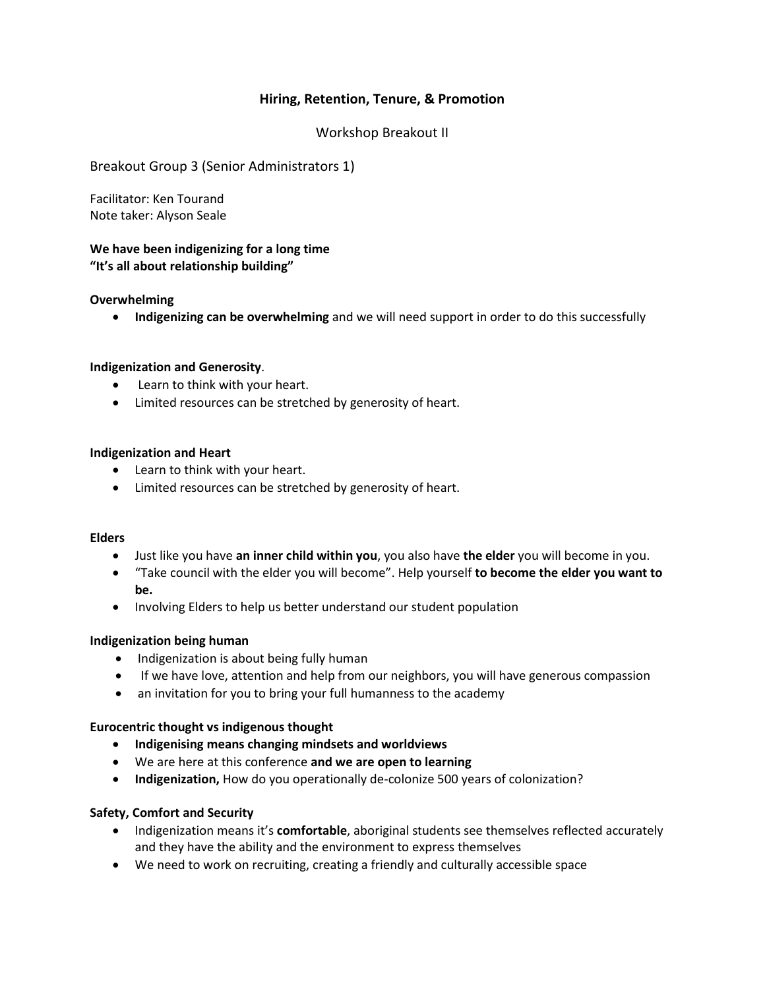# **Hiring, Retention, Tenure, & Promotion**

# Workshop Breakout II

## Breakout Group 3 (Senior Administrators 1)

Facilitator: Ken Tourand Note taker: Alyson Seale

## **We have been indigenizing for a long time "It's all about relationship building"**

### **Overwhelming**

**Indigenizing can be overwhelming** and we will need support in order to do this successfully

### **Indigenization and Generosity**.

- Learn to think with your heart.
- Limited resources can be stretched by generosity of heart.

### **Indigenization and Heart**

- Learn to think with your heart.
- Limited resources can be stretched by generosity of heart.

#### **Elders**

- Just like you have **an inner child within you**, you also have **the elder** you will become in you.
- "Take council with the elder you will become". Help yourself **to become the elder you want to be.**
- Involving Elders to help us better understand our student population

#### **Indigenization being human**

- Indigenization is about being fully human
- If we have love, attention and help from our neighbors, you will have generous compassion
- an invitation for you to bring your full humanness to the academy

#### **Eurocentric thought vs indigenous thought**

- **Indigenising means changing mindsets and worldviews**
- We are here at this conference **and we are open to learning**
- **Indigenization,** How do you operationally de-colonize 500 years of colonization?

#### **Safety, Comfort and Security**

- Indigenization means it's **comfortable**, aboriginal students see themselves reflected accurately and they have the ability and the environment to express themselves
- We need to work on recruiting, creating a friendly and culturally accessible space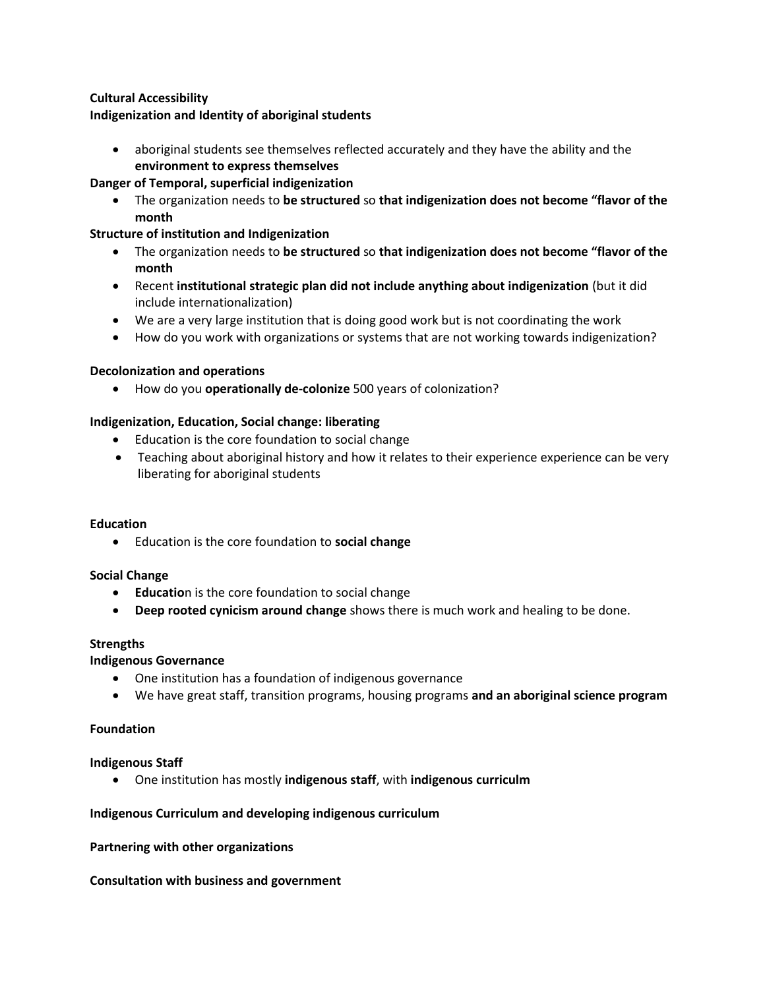# **Cultural Accessibility**

## **Indigenization and Identity of aboriginal students**

 aboriginal students see themselves reflected accurately and they have the ability and the **environment to express themselves**

# **Danger of Temporal, superficial indigenization**

 The organization needs to **be structured** so **that indigenization does not become "flavor of the month**

# **Structure of institution and Indigenization**

- The organization needs to **be structured** so **that indigenization does not become "flavor of the month**
- Recent **institutional strategic plan did not include anything about indigenization** (but it did include internationalization)
- We are a very large institution that is doing good work but is not coordinating the work
- How do you work with organizations or systems that are not working towards indigenization?

## **Decolonization and operations**

How do you **operationally de-colonize** 500 years of colonization?

## **Indigenization, Education, Social change: liberating**

- Education is the core foundation to social change
- Teaching about aboriginal history and how it relates to their experience experience can be very liberating for aboriginal students

## **Education**

Education is the core foundation to **social change**

#### **Social Change**

- **Educatio**n is the core foundation to social change
- **Deep rooted cynicism around change** shows there is much work and healing to be done.

#### **Strengths**

## **Indigenous Governance**

- One institution has a foundation of indigenous governance
- We have great staff, transition programs, housing programs **and an aboriginal science program**

### **Foundation**

#### **Indigenous Staff**

One institution has mostly **indigenous staff**, with **indigenous curriculm**

## **Indigenous Curriculum and developing indigenous curriculum**

#### **Partnering with other organizations**

#### **Consultation with business and government**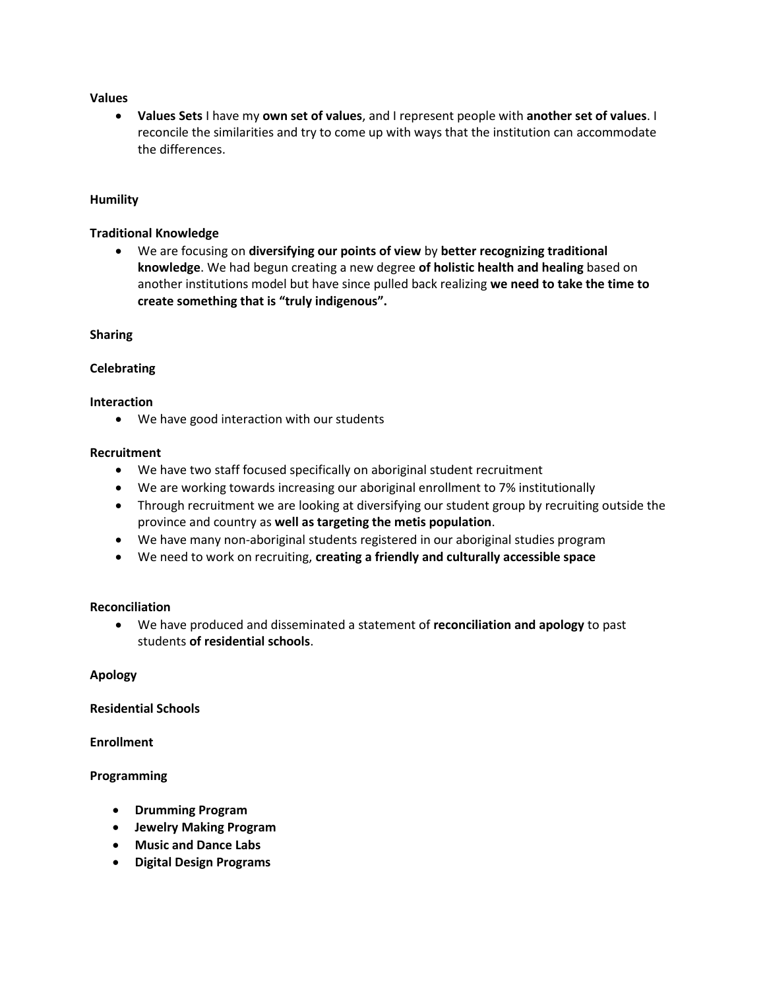### **Values**

 **Values Sets** I have my **own set of values**, and I represent people with **another set of values**. I reconcile the similarities and try to come up with ways that the institution can accommodate the differences.

### **Humility**

### **Traditional Knowledge**

 We are focusing on **diversifying our points of view** by **better recognizing traditional knowledge**. We had begun creating a new degree **of holistic health and healing** based on another institutions model but have since pulled back realizing **we need to take the time to create something that is "truly indigenous".**

### **Sharing**

### **Celebrating**

### **Interaction**

We have good interaction with our students

### **Recruitment**

- We have two staff focused specifically on aboriginal student recruitment
- We are working towards increasing our aboriginal enrollment to 7% institutionally
- Through recruitment we are looking at diversifying our student group by recruiting outside the province and country as **well as targeting the metis population**.
- We have many non-aboriginal students registered in our aboriginal studies program
- We need to work on recruiting, **creating a friendly and culturally accessible space**

## **Reconciliation**

 We have produced and disseminated a statement of **reconciliation and apology** to past students **of residential schools**.

#### **Apology**

## **Residential Schools**

## **Enrollment**

## **Programming**

- **Drumming Program**
- **Jewelry Making Program**
- **Music and Dance Labs**
- **Digital Design Programs**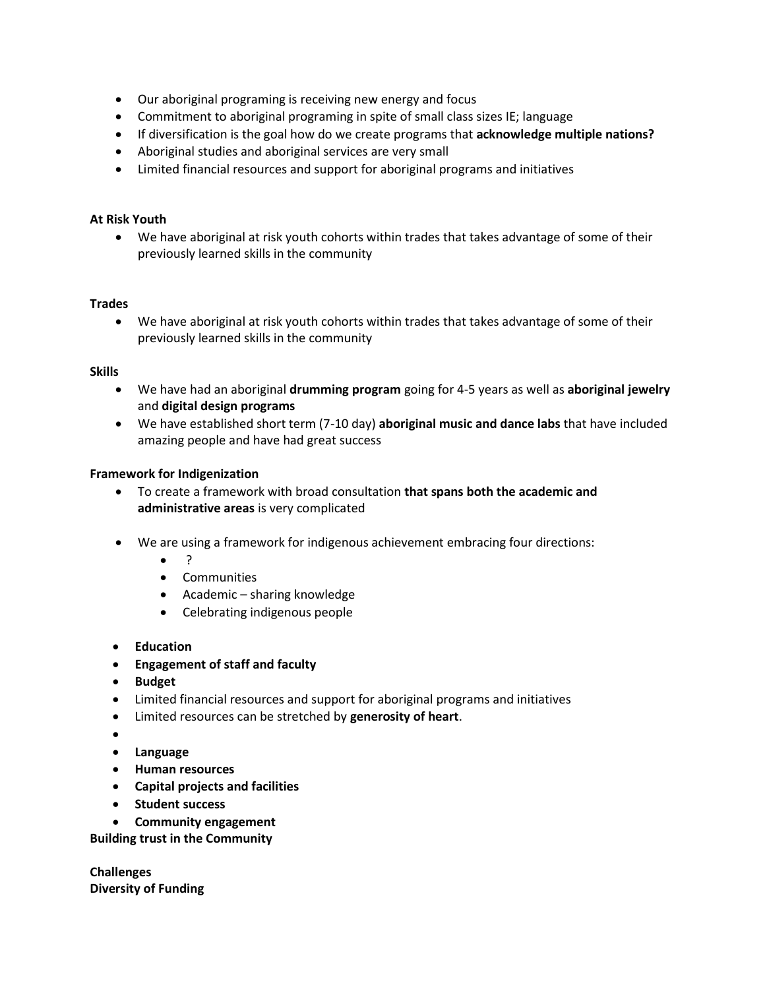- Our aboriginal programing is receiving new energy and focus
- Commitment to aboriginal programing in spite of small class sizes IE; language
- If diversification is the goal how do we create programs that **acknowledge multiple nations?**
- Aboriginal studies and aboriginal services are very small
- Limited financial resources and support for aboriginal programs and initiatives

# **At Risk Youth**

 We have aboriginal at risk youth cohorts within trades that takes advantage of some of their previously learned skills in the community

## **Trades**

 We have aboriginal at risk youth cohorts within trades that takes advantage of some of their previously learned skills in the community

## **Skills**

- We have had an aboriginal **drumming program** going for 4-5 years as well as **aboriginal jewelry** and **digital design programs**
- We have established short term (7-10 day) **aboriginal music and dance labs** that have included amazing people and have had great success

# **Framework for Indigenization**

- To create a framework with broad consultation **that spans both the academic and administrative areas** is very complicated
- We are using a framework for indigenous achievement embracing four directions:
	- $\bullet$  ?
	- **•** Communities
	- Academic sharing knowledge
	- Celebrating indigenous people
- **Education**
- **Engagement of staff and faculty**
- **Budget**
- Limited financial resources and support for aboriginal programs and initiatives
- Limited resources can be stretched by **generosity of heart**.
- $\bullet$
- **Language**
- **Human resources**
- **Capital projects and facilities**
- **student success**
- **Community engagement**

**Building trust in the Community**

**Challenges Diversity of Funding**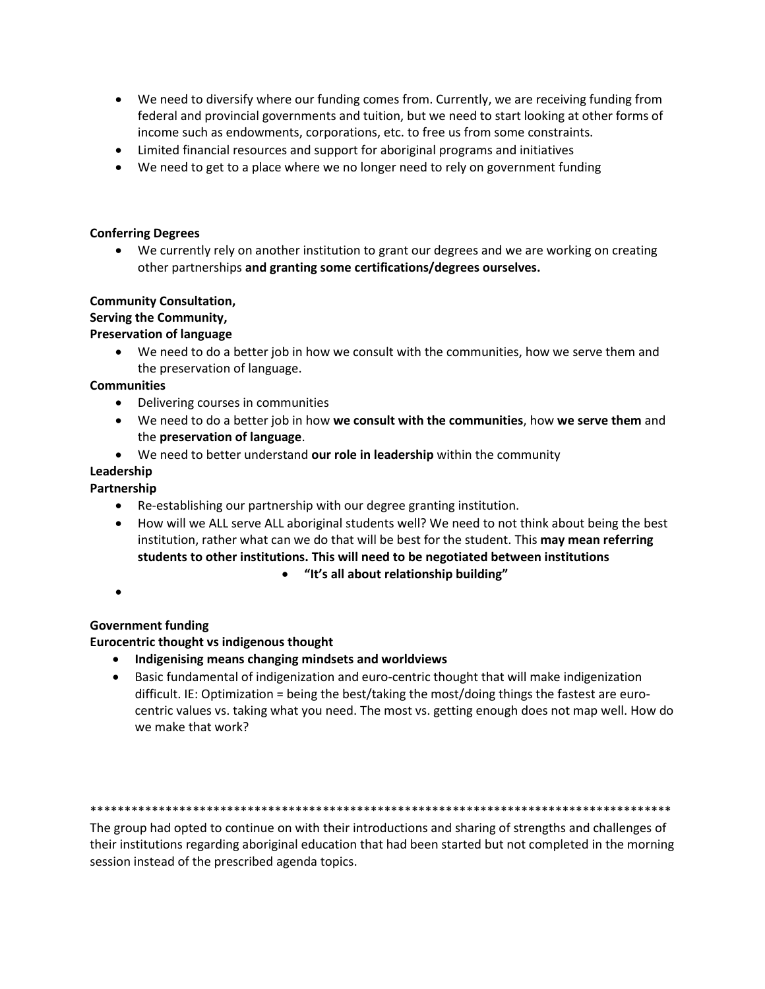- We need to diversify where our funding comes from. Currently, we are receiving funding from federal and provincial governments and tuition, but we need to start looking at other forms of income such as endowments, corporations, etc. to free us from some constraints.
- Limited financial resources and support for aboriginal programs and initiatives
- We need to get to a place where we no longer need to rely on government funding

# **Conferring Degrees**

 We currently rely on another institution to grant our degrees and we are working on creating other partnerships **and granting some certifications/degrees ourselves.**

# **Community Consultation,**

# **Serving the Community,**

# **Preservation of language**

 We need to do a better job in how we consult with the communities, how we serve them and the preservation of language.

# **Communities**

- Delivering courses in communities
- We need to do a better job in how **we consult with the communities**, how **we serve them** and the **preservation of language**.
- We need to better understand **our role in leadership** within the community

# **Leadership**

# **Partnership**

- Re-establishing our partnership with our degree granting institution.
- How will we ALL serve ALL aboriginal students well? We need to not think about being the best institution, rather what can we do that will be best for the student. This **may mean referring students to other institutions. This will need to be negotiated between institutions**

## **"It's all about relationship building"**

 $\bullet$ 

# **Government funding**

# **Eurocentric thought vs indigenous thought**

- **Indigenising means changing mindsets and worldviews**
- Basic fundamental of indigenization and euro-centric thought that will make indigenization difficult. IE: Optimization = being the best/taking the most/doing things the fastest are eurocentric values vs. taking what you need. The most vs. getting enough does not map well. How do we make that work?

#### \*\*\*\*\*\*\*\*\*\*\*\*\*\*\*\*\*\*\*\*\*\*\*\*\*\*\*\*\*\*\*\*\*\*\*\*\*\*\*\*\*\*\*\*\*\*\*\*\*\*\*\*\*\*\*\*\*\*\*\*\*\*\*\*\*\*\*\*\*\*\*\*\*\*\*\*\*\*\*\*\*\*\*\*\*

The group had opted to continue on with their introductions and sharing of strengths and challenges of their institutions regarding aboriginal education that had been started but not completed in the morning session instead of the prescribed agenda topics.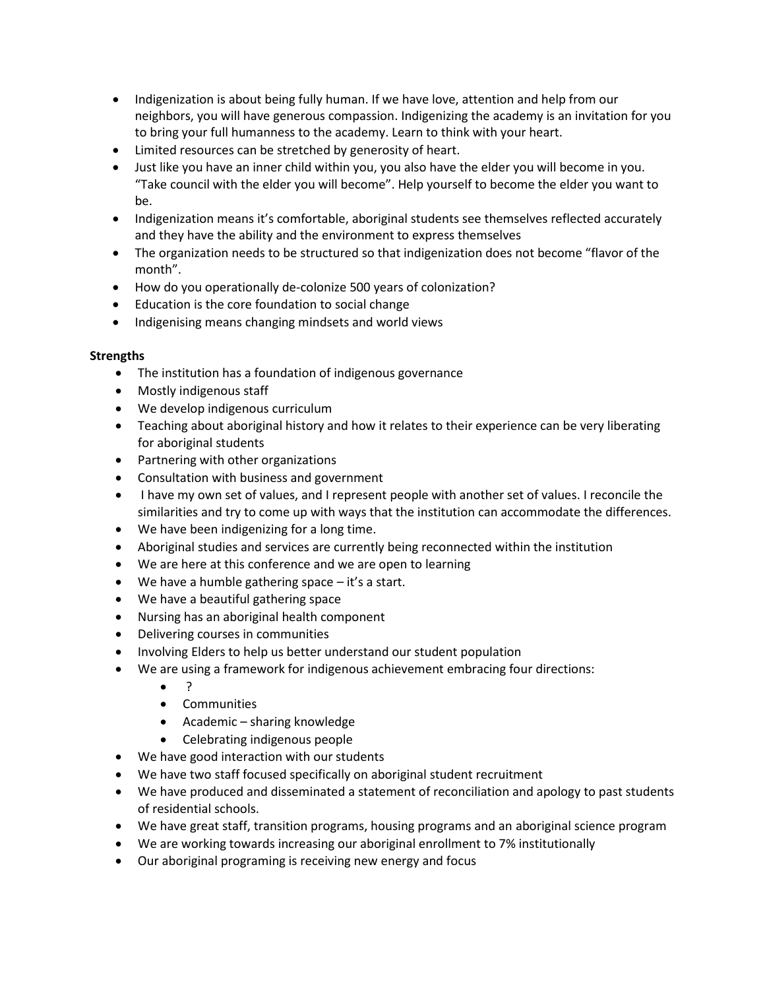- Indigenization is about being fully human. If we have love, attention and help from our neighbors, you will have generous compassion. Indigenizing the academy is an invitation for you to bring your full humanness to the academy. Learn to think with your heart.
- Limited resources can be stretched by generosity of heart.
- Just like you have an inner child within you, you also have the elder you will become in you. "Take council with the elder you will become". Help yourself to become the elder you want to be.
- Indigenization means it's comfortable, aboriginal students see themselves reflected accurately and they have the ability and the environment to express themselves
- The organization needs to be structured so that indigenization does not become "flavor of the month".
- How do you operationally de-colonize 500 years of colonization?
- Education is the core foundation to social change
- Indigenising means changing mindsets and world views

# **Strengths**

- The institution has a foundation of indigenous governance
- Mostly indigenous staff
- We develop indigenous curriculum
- Teaching about aboriginal history and how it relates to their experience can be very liberating for aboriginal students
- Partnering with other organizations
- Consultation with business and government
- I have my own set of values, and I represent people with another set of values. I reconcile the similarities and try to come up with ways that the institution can accommodate the differences.
- We have been indigenizing for a long time.
- Aboriginal studies and services are currently being reconnected within the institution
- We are here at this conference and we are open to learning
- $\bullet$  We have a humble gathering space  $-i$ t's a start.
- We have a beautiful gathering space
- Nursing has an aboriginal health component
- Delivering courses in communities
- Involving Elders to help us better understand our student population
- We are using a framework for indigenous achievement embracing four directions:
	- $\bullet$  ?
	- **•** Communities
	- Academic sharing knowledge
	- Celebrating indigenous people
- We have good interaction with our students
- We have two staff focused specifically on aboriginal student recruitment
- We have produced and disseminated a statement of reconciliation and apology to past students of residential schools.
- We have great staff, transition programs, housing programs and an aboriginal science program
- We are working towards increasing our aboriginal enrollment to 7% institutionally
- Our aboriginal programing is receiving new energy and focus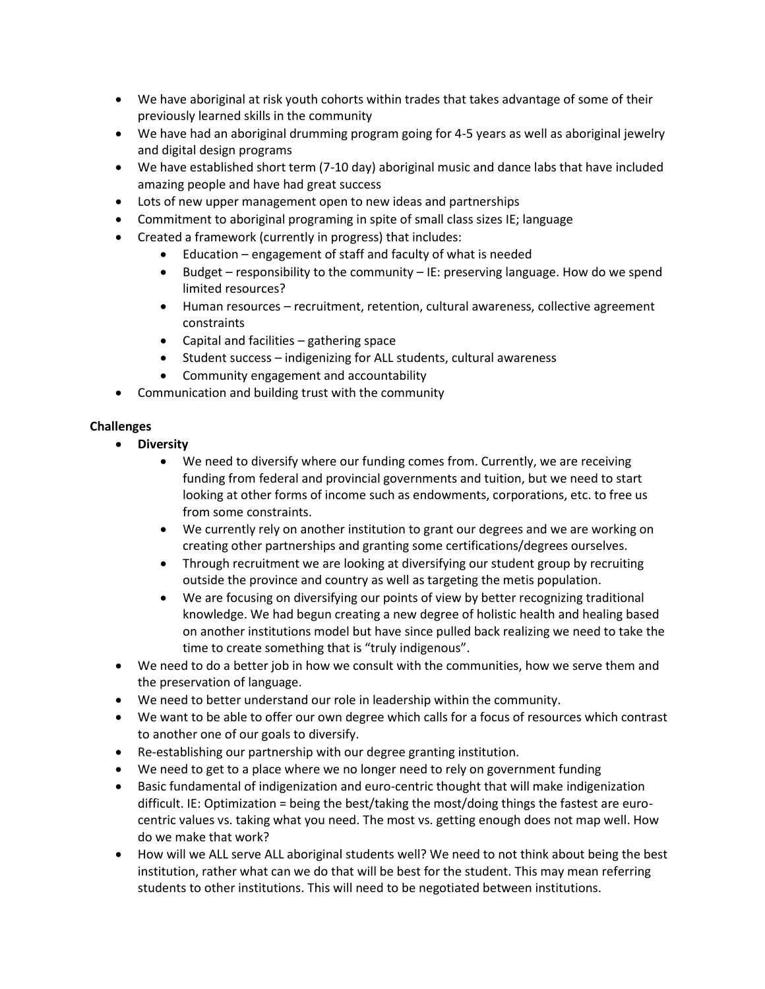- We have aboriginal at risk youth cohorts within trades that takes advantage of some of their previously learned skills in the community
- We have had an aboriginal drumming program going for 4-5 years as well as aboriginal jewelry and digital design programs
- We have established short term (7-10 day) aboriginal music and dance labs that have included amazing people and have had great success
- Lots of new upper management open to new ideas and partnerships
- Commitment to aboriginal programing in spite of small class sizes IE; language
- Created a framework (currently in progress) that includes:
	- Education engagement of staff and faculty of what is needed
	- Budget responsibility to the community IE: preserving language. How do we spend limited resources?
	- Human resources recruitment, retention, cultural awareness, collective agreement constraints
	- Capital and facilities gathering space
	- Student success indigenizing for ALL students, cultural awareness
	- Community engagement and accountability
- Communication and building trust with the community

# **Challenges**

- **Diversity**
	- We need to diversify where our funding comes from. Currently, we are receiving funding from federal and provincial governments and tuition, but we need to start looking at other forms of income such as endowments, corporations, etc. to free us from some constraints.
	- We currently rely on another institution to grant our degrees and we are working on creating other partnerships and granting some certifications/degrees ourselves.
	- Through recruitment we are looking at diversifying our student group by recruiting outside the province and country as well as targeting the metis population.
	- We are focusing on diversifying our points of view by better recognizing traditional knowledge. We had begun creating a new degree of holistic health and healing based on another institutions model but have since pulled back realizing we need to take the time to create something that is "truly indigenous".
- We need to do a better job in how we consult with the communities, how we serve them and the preservation of language.
- We need to better understand our role in leadership within the community.
- We want to be able to offer our own degree which calls for a focus of resources which contrast to another one of our goals to diversify.
- Re-establishing our partnership with our degree granting institution.
- We need to get to a place where we no longer need to rely on government funding
- Basic fundamental of indigenization and euro-centric thought that will make indigenization difficult. IE: Optimization = being the best/taking the most/doing things the fastest are eurocentric values vs. taking what you need. The most vs. getting enough does not map well. How do we make that work?
- How will we ALL serve ALL aboriginal students well? We need to not think about being the best institution, rather what can we do that will be best for the student. This may mean referring students to other institutions. This will need to be negotiated between institutions.